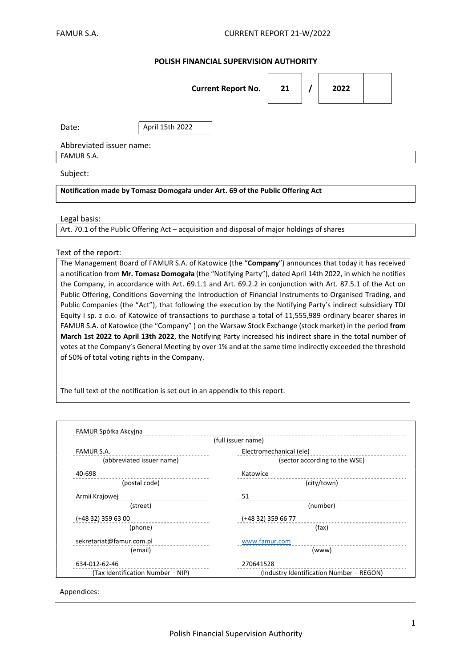### POLISH FINANCIAL SUPERVISION AUTHORITY

|                                                                               | <b>Current Report No.</b> | 21 |  | 2022 |  |  |  |
|-------------------------------------------------------------------------------|---------------------------|----|--|------|--|--|--|
| Date:                                                                         | April 15th 2022           |    |  |      |  |  |  |
| Abbreviated issuer name:                                                      |                           |    |  |      |  |  |  |
| <b>FAMUR S.A.</b>                                                             |                           |    |  |      |  |  |  |
| Subject:                                                                      |                           |    |  |      |  |  |  |
| Notification made by Tomasz Domogała under Art. 69 of the Public Offering Act |                           |    |  |      |  |  |  |

#### Legal basis:

Art. 70.1 of the Public Offering Act – acquisition and disposal of major holdings of shares

#### Text of the report:

The Management Board of FAMUR S.A. of Katowice (the "Company") announces that today it has received a notification from Mr. Tomasz Domogała (the "Notifying Party"), dated April 14th 2022, in which he notifies the Company, in accordance with Art. 69.1.1 and Art. 69.2.2 in conjunction with Art. 87.5.1 of the Act on Public Offering, Conditions Governing the Introduction of Financial Instruments to Organised Trading, and Public Companies (the "Act"), that following the execution by the Notifying Party's indirect subsidiary TDJ Equity I sp. z o.o. of Katowice of transactions to purchase a total of 11,555,989 ordinary bearer shares in FAMUR S.A. of Katowice (the "Company" ) on the Warsaw Stock Exchange (stock market) in the period from March 1st 2022 to April 13th 2022, the Notifying Party increased his indirect share in the total number of votes at the Company's General Meeting by over 1% and at the same time indirectly exceeded the threshold of 50% of total voting rights in the Company.

The full text of the notification is set out in an appendix to this report.

| (full issuer name)                |                                          |  |  |  |
|-----------------------------------|------------------------------------------|--|--|--|
| <b>FAMUR S.A.</b>                 | Electromechanical (ele)                  |  |  |  |
| (abbreviated issuer name)         | (sector according to the WSE)            |  |  |  |
| 40-698                            | Katowice                                 |  |  |  |
| (postal code)                     | (city/town)                              |  |  |  |
| Armii Krajowej                    | 51                                       |  |  |  |
| (street)                          | (number)                                 |  |  |  |
| (+48 32) 359 63 00                | (+48 32) 359 66 77                       |  |  |  |
| (phone)                           | (fax)                                    |  |  |  |
| sekretariat@famur.com.pl          | www.famur.com                            |  |  |  |
| (email)                           | (www)                                    |  |  |  |
| 634-012-62-46                     | 270641528                                |  |  |  |
| (Tax Identification Number - NIP) | (Industry Identification Number - REGON) |  |  |  |

Appendices: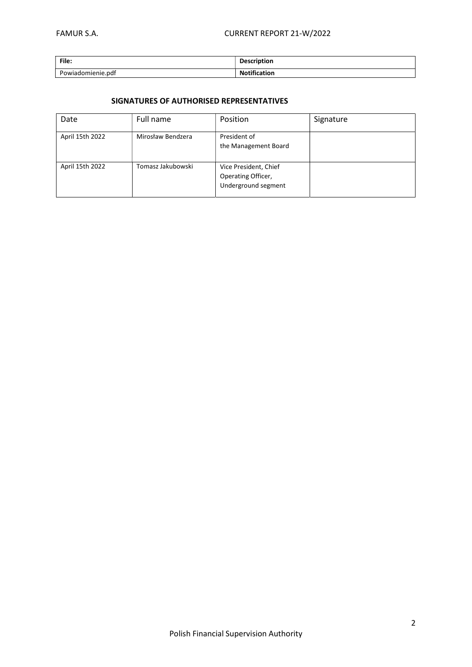| File:             | <b>Description</b>  |
|-------------------|---------------------|
| Powiadomienie.pdf | <b>Notification</b> |

## SIGNATURES OF AUTHORISED REPRESENTATIVES

| Date            | Full name         | Position                                                           | Signature |
|-----------------|-------------------|--------------------------------------------------------------------|-----------|
| April 15th 2022 | Mirosław Bendzera | President of<br>the Management Board                               |           |
| April 15th 2022 | Tomasz Jakubowski | Vice President, Chief<br>Operating Officer,<br>Underground segment |           |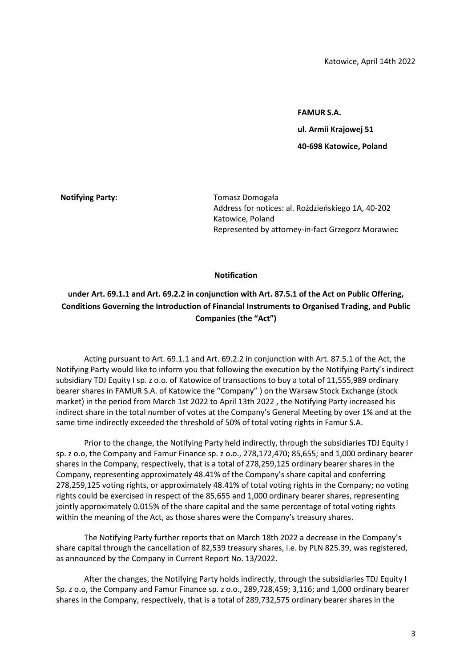FAMUR S.A.

ul. Armii Krajowej 51

40-698 Katowice, Poland

Notifying Party: Tomasz Domogała Address for notices: al. Roździeńskiego 1A, 40-202 Katowice, Poland Represented by attorney-in-fact Grzegorz Morawiec

### Notification

# under Art. 69.1.1 and Art. 69.2.2 in conjunction with Art. 87.5.1 of the Act on Public Offering, Conditions Governing the Introduction of Financial Instruments to Organised Trading, and Public Companies (the "Act")

Acting pursuant to Art. 69.1.1 and Art. 69.2.2 in conjunction with Art. 87.5.1 of the Act, the Notifying Party would like to inform you that following the execution by the Notifying Party's indirect subsidiary TDJ Equity I sp. z o.o. of Katowice of transactions to buy a total of 11,555,989 ordinary bearer shares in FAMUR S.A. of Katowice the "Company" ) on the Warsaw Stock Exchange (stock market) in the period from March 1st 2022 to April 13th 2022 , the Notifying Party increased his indirect share in the total number of votes at the Company's General Meeting by over 1% and at the same time indirectly exceeded the threshold of 50% of total voting rights in Famur S.A.

Prior to the change, the Notifying Party held indirectly, through the subsidiaries TDJ Equity I sp. z o.o, the Company and Famur Finance sp. z o.o., 278,172,470; 85,655; and 1,000 ordinary bearer shares in the Company, respectively, that is a total of 278,259,125 ordinary bearer shares in the Company, representing approximately 48.41% of the Company's share capital and conferring 278,259,125 voting rights, or approximately 48.41% of total voting rights in the Company; no voting rights could be exercised in respect of the 85,655 and 1,000 ordinary bearer shares, representing jointly approximately 0.015% of the share capital and the same percentage of total voting rights within the meaning of the Act, as those shares were the Company's treasury shares.

The Notifying Party further reports that on March 18th 2022 a decrease in the Company's share capital through the cancellation of 82,539 treasury shares, i.e. by PLN 825.39, was registered, as announced by the Company in Current Report No. 13/2022.

After the changes, the Notifying Party holds indirectly, through the subsidiaries TDJ Equity I Sp. z o.o, the Company and Famur Finance sp. z o.o., 289,728,459; 3,116; and 1,000 ordinary bearer shares in the Company, respectively, that is a total of 289,732,575 ordinary bearer shares in the